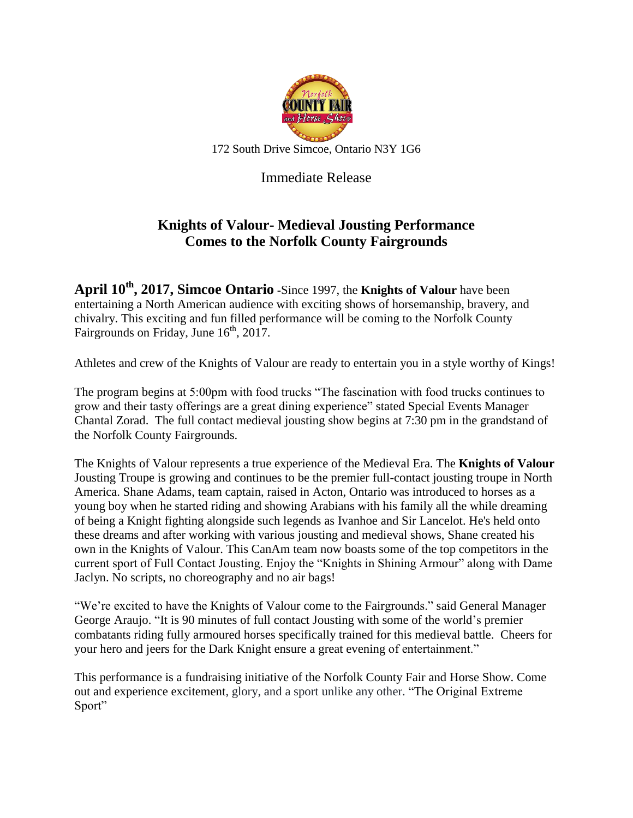

## Immediate Release

## **Knights of Valour- Medieval Jousting Performance Comes to the Norfolk County Fairgrounds**

**April 10th , 2017, Simcoe Ontario -**Since 1997, the **Knights of Valour** have been entertaining a North American audience with exciting shows of horsemanship, bravery, and chivalry. This exciting and fun filled performance will be coming to the Norfolk County Fairgrounds on Friday, June  $16<sup>th</sup>$ , 2017.

Athletes and crew of the Knights of Valour are ready to entertain you in a style worthy of Kings!

The program begins at 5:00pm with food trucks "The fascination with food trucks continues to grow and their tasty offerings are a great dining experience" stated Special Events Manager Chantal Zorad. The full contact medieval jousting show begins at 7:30 pm in the grandstand of the Norfolk County Fairgrounds.

The Knights of Valour represents a true experience of the Medieval Era. The **Knights of Valour** Jousting Troupe is growing and continues to be the premier full-contact jousting troupe in North America. Shane Adams, team captain, raised in Acton, Ontario was introduced to horses as a young boy when he started riding and showing Arabians with his family all the while dreaming of being a Knight fighting alongside such legends as Ivanhoe and Sir Lancelot. He's held onto these dreams and after working with various jousting and medieval shows, Shane created his own in the Knights of Valour. This CanAm team now boasts some of the top competitors in the current sport of Full Contact Jousting. Enjoy the "Knights in Shining Armour" along with Dame Jaclyn. No scripts, no choreography and no air bags!

"We're excited to have the Knights of Valour come to the Fairgrounds." said General Manager George Araujo. "It is 90 minutes of full contact Jousting with some of the world's premier combatants riding fully armoured horses specifically trained for this medieval battle. Cheers for your hero and jeers for the Dark Knight ensure a great evening of entertainment."

This performance is a fundraising initiative of the Norfolk County Fair and Horse Show. Come out and experience excitement, glory, and a sport unlike any other. "The Original Extreme Sport"